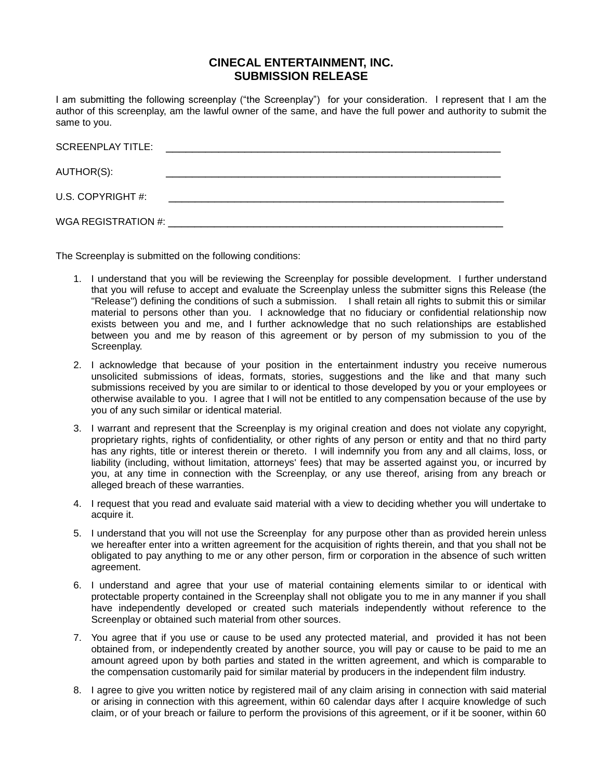## **CINECAL ENTERTAINMENT, INC. SUBMISSION RELEASE**

I am submitting the following screenplay ("the Screenplay") for your consideration. I represent that I am the author of this screenplay, am the lawful owner of the same, and have the full power and authority to submit the same to you.

| <b>SCREENPLAY TITLE:</b>                                                                                       | <u> 1980 - Jan Barbara, martxa al II-lea (h. 1980).</u> |
|----------------------------------------------------------------------------------------------------------------|---------------------------------------------------------|
| AUTHOR(S):                                                                                                     |                                                         |
| U.S. COPYRIGHT #:                                                                                              |                                                         |
| WGA REGISTRATION #: \\cdot \\cdot \\cdot \\cdot \\cdot \\cdot \\cdot \\cdot \\cdot \\cdot \\cdot \\cdot \\cdot |                                                         |

The Screenplay is submitted on the following conditions:

- 1. I understand that you will be reviewing the Screenplay for possible development. I further understand that you will refuse to accept and evaluate the Screenplay unless the submitter signs this Release (the "Release") defining the conditions of such a submission. I shall retain all rights to submit this or similar material to persons other than you. I acknowledge that no fiduciary or confidential relationship now exists between you and me, and I further acknowledge that no such relationships are established between you and me by reason of this agreement or by person of my submission to you of the Screenplay.
- 2. I acknowledge that because of your position in the entertainment industry you receive numerous unsolicited submissions of ideas, formats, stories, suggestions and the like and that many such submissions received by you are similar to or identical to those developed by you or your employees or otherwise available to you. I agree that I will not be entitled to any compensation because of the use by you of any such similar or identical material.
- 3. I warrant and represent that the Screenplay is my original creation and does not violate any copyright, proprietary rights, rights of confidentiality, or other rights of any person or entity and that no third party has any rights, title or interest therein or thereto. I will indemnify you from any and all claims, loss, or liability (including, without limitation, attorneys' fees) that may be asserted against you, or incurred by you, at any time in connection with the Screenplay, or any use thereof, arising from any breach or alleged breach of these warranties.
- 4. I request that you read and evaluate said material with a view to deciding whether you will undertake to acquire it.
- 5. I understand that you will not use the Screenplay for any purpose other than as provided herein unless we hereafter enter into a written agreement for the acquisition of rights therein, and that you shall not be obligated to pay anything to me or any other person, firm or corporation in the absence of such written agreement.
- 6. I understand and agree that your use of material containing elements similar to or identical with protectable property contained in the Screenplay shall not obligate you to me in any manner if you shall have independently developed or created such materials independently without reference to the Screenplay or obtained such material from other sources.
- 7. You agree that if you use or cause to be used any protected material, and provided it has not been obtained from, or independently created by another source, you will pay or cause to be paid to me an amount agreed upon by both parties and stated in the written agreement, and which is comparable to the compensation customarily paid for similar material by producers in the independent film industry.
- 8. I agree to give you written notice by registered mail of any claim arising in connection with said material or arising in connection with this agreement, within 60 calendar days after I acquire knowledge of such claim, or of your breach or failure to perform the provisions of this agreement, or if it be sooner, within 60